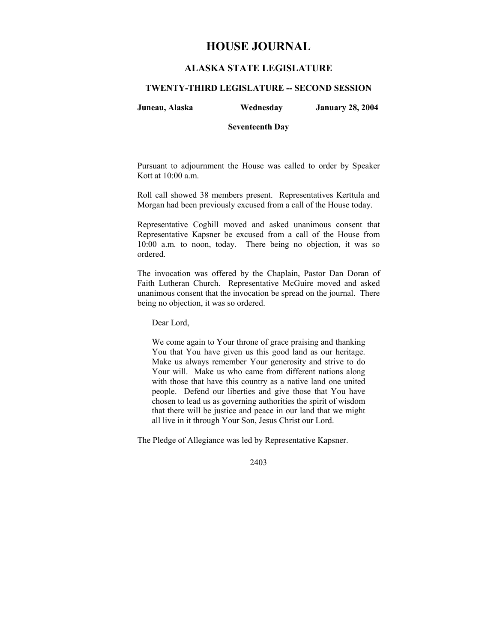# **HOUSE JOURNAL**

## **ALASKA STATE LEGISLATURE**

#### **TWENTY-THIRD LEGISLATURE -- SECOND SESSION**

**Juneau, Alaska Wednesday January 28, 2004** 

## **Seventeenth Day**

Pursuant to adjournment the House was called to order by Speaker Kott at 10:00 a.m.

Roll call showed 38 members present. Representatives Kerttula and Morgan had been previously excused from a call of the House today.

Representative Coghill moved and asked unanimous consent that Representative Kapsner be excused from a call of the House from 10:00 a.m. to noon, today. There being no objection, it was so ordered.

The invocation was offered by the Chaplain, Pastor Dan Doran of Faith Lutheran Church. Representative McGuire moved and asked unanimous consent that the invocation be spread on the journal. There being no objection, it was so ordered.

Dear Lord,

We come again to Your throne of grace praising and thanking You that You have given us this good land as our heritage. Make us always remember Your generosity and strive to do Your will. Make us who came from different nations along with those that have this country as a native land one united people. Defend our liberties and give those that You have chosen to lead us as governing authorities the spirit of wisdom that there will be justice and peace in our land that we might all live in it through Your Son, Jesus Christ our Lord.

The Pledge of Allegiance was led by Representative Kapsner.

2403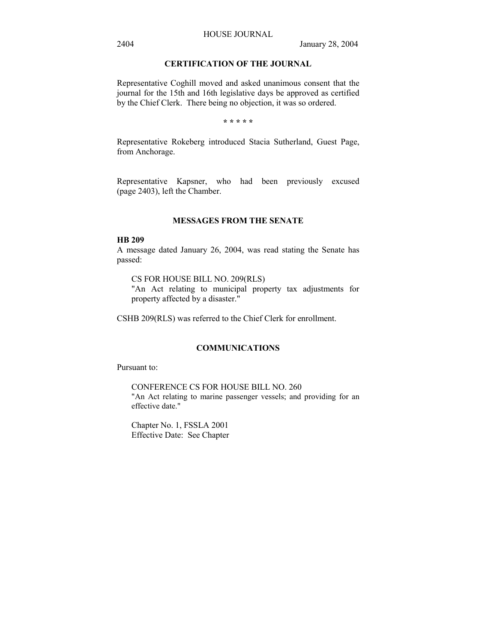## **CERTIFICATION OF THE JOURNAL**

Representative Coghill moved and asked unanimous consent that the journal for the 15th and 16th legislative days be approved as certified by the Chief Clerk. There being no objection, it was so ordered.

**\* \* \* \* \***

Representative Rokeberg introduced Stacia Sutherland, Guest Page, from Anchorage.

Representative Kapsner, who had been previously excused (page 2403), left the Chamber.

### **MESSAGES FROM THE SENATE**

#### **HB 209**

A message dated January 26, 2004, was read stating the Senate has passed:

CS FOR HOUSE BILL NO. 209(RLS) "An Act relating to municipal property tax adjustments for property affected by a disaster."

CSHB 209(RLS) was referred to the Chief Clerk for enrollment.

## **COMMUNICATIONS**

Pursuant to:

CONFERENCE CS FOR HOUSE BILL NO. 260 "An Act relating to marine passenger vessels; and providing for an effective date."

Chapter No. 1, FSSLA 2001 Effective Date: See Chapter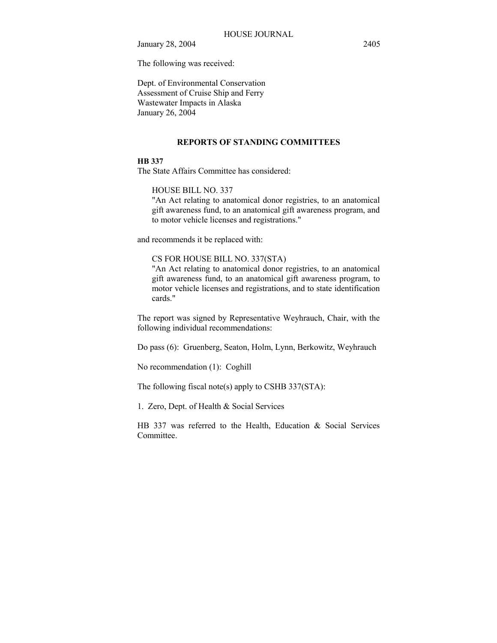The following was received:

Dept. of Environmental Conservation Assessment of Cruise Ship and Ferry Wastewater Impacts in Alaska January 26, 2004

#### **REPORTS OF STANDING COMMITTEES**

## **HB 337**

The State Affairs Committee has considered:

## HOUSE BILL NO. 337

"An Act relating to anatomical donor registries, to an anatomical gift awareness fund, to an anatomical gift awareness program, and to motor vehicle licenses and registrations."

and recommends it be replaced with:

## CS FOR HOUSE BILL NO. 337(STA)

"An Act relating to anatomical donor registries, to an anatomical gift awareness fund, to an anatomical gift awareness program, to motor vehicle licenses and registrations, and to state identification cards."

The report was signed by Representative Weyhrauch, Chair, with the following individual recommendations:

Do pass (6): Gruenberg, Seaton, Holm, Lynn, Berkowitz, Weyhrauch

No recommendation (1): Coghill

The following fiscal note(s) apply to CSHB 337(STA):

1. Zero, Dept. of Health & Social Services

HB 337 was referred to the Health, Education & Social Services **Committee**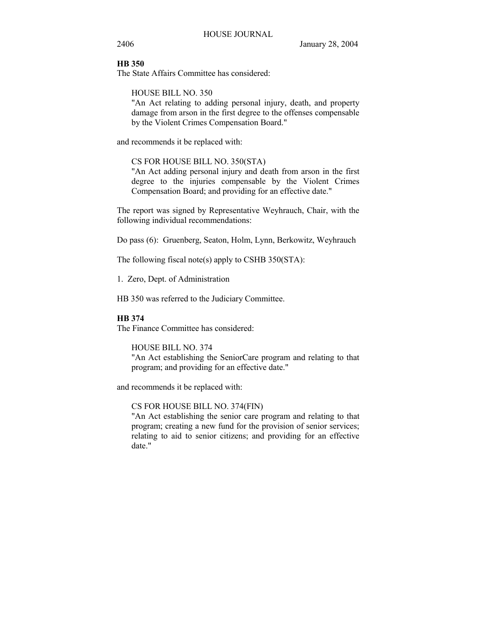## **HB 350**

The State Affairs Committee has considered:

HOUSE BILL NO. 350

"An Act relating to adding personal injury, death, and property damage from arson in the first degree to the offenses compensable by the Violent Crimes Compensation Board."

and recommends it be replaced with:

## CS FOR HOUSE BILL NO. 350(STA)

"An Act adding personal injury and death from arson in the first degree to the injuries compensable by the Violent Crimes Compensation Board; and providing for an effective date."

The report was signed by Representative Weyhrauch, Chair, with the following individual recommendations:

Do pass (6): Gruenberg, Seaton, Holm, Lynn, Berkowitz, Weyhrauch

The following fiscal note(s) apply to CSHB  $350(TA)$ :

1. Zero, Dept. of Administration

HB 350 was referred to the Judiciary Committee.

## **HB 374**

The Finance Committee has considered:

HOUSE BILL NO. 374

"An Act establishing the SeniorCare program and relating to that program; and providing for an effective date."

and recommends it be replaced with:

CS FOR HOUSE BILL NO. 374(FIN)

"An Act establishing the senior care program and relating to that program; creating a new fund for the provision of senior services; relating to aid to senior citizens; and providing for an effective date."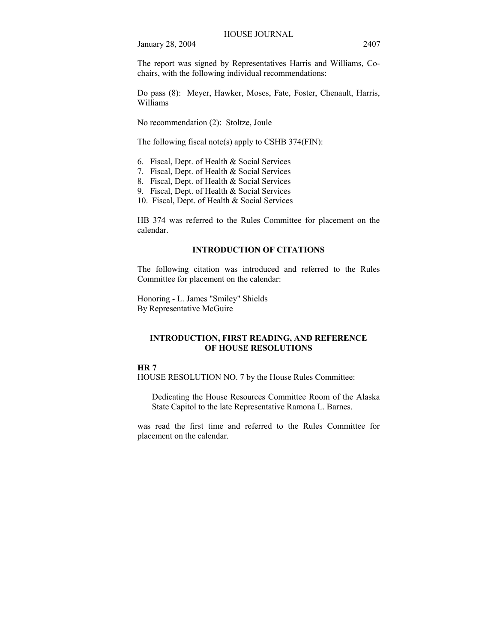The report was signed by Representatives Harris and Williams, Cochairs, with the following individual recommendations:

Do pass (8): Meyer, Hawker, Moses, Fate, Foster, Chenault, Harris, Williams

No recommendation (2): Stoltze, Joule

The following fiscal note(s) apply to CSHB 374(FIN):

- 6. Fiscal, Dept. of Health & Social Services
- 7. Fiscal, Dept. of Health & Social Services
- 8. Fiscal, Dept. of Health & Social Services
- 9. Fiscal, Dept. of Health & Social Services
- 10. Fiscal, Dept. of Health & Social Services

HB 374 was referred to the Rules Committee for placement on the calendar.

## **INTRODUCTION OF CITATIONS**

The following citation was introduced and referred to the Rules Committee for placement on the calendar:

Honoring - L. James "Smiley" Shields By Representative McGuire

### **INTRODUCTION, FIRST READING, AND REFERENCE OF HOUSE RESOLUTIONS**

## **HR 7**

HOUSE RESOLUTION NO. 7 by the House Rules Committee:

Dedicating the House Resources Committee Room of the Alaska State Capitol to the late Representative Ramona L. Barnes.

was read the first time and referred to the Rules Committee for placement on the calendar.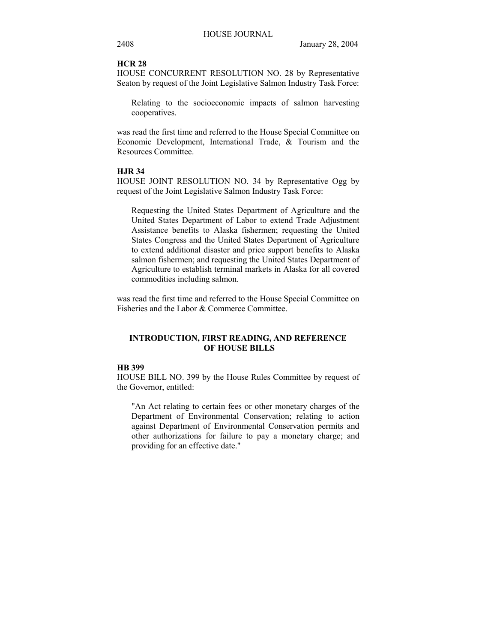# **HCR 28**

HOUSE CONCURRENT RESOLUTION NO. 28 by Representative Seaton by request of the Joint Legislative Salmon Industry Task Force:

Relating to the socioeconomic impacts of salmon harvesting cooperatives.

was read the first time and referred to the House Special Committee on Economic Development, International Trade, & Tourism and the Resources Committee.

#### **HJR 34**

HOUSE JOINT RESOLUTION NO. 34 by Representative Ogg by request of the Joint Legislative Salmon Industry Task Force:

Requesting the United States Department of Agriculture and the United States Department of Labor to extend Trade Adjustment Assistance benefits to Alaska fishermen; requesting the United States Congress and the United States Department of Agriculture to extend additional disaster and price support benefits to Alaska salmon fishermen; and requesting the United States Department of Agriculture to establish terminal markets in Alaska for all covered commodities including salmon.

was read the first time and referred to the House Special Committee on Fisheries and the Labor & Commerce Committee.

## **INTRODUCTION, FIRST READING, AND REFERENCE OF HOUSE BILLS**

## **HB 399**

HOUSE BILL NO. 399 by the House Rules Committee by request of the Governor, entitled:

"An Act relating to certain fees or other monetary charges of the Department of Environmental Conservation; relating to action against Department of Environmental Conservation permits and other authorizations for failure to pay a monetary charge; and providing for an effective date."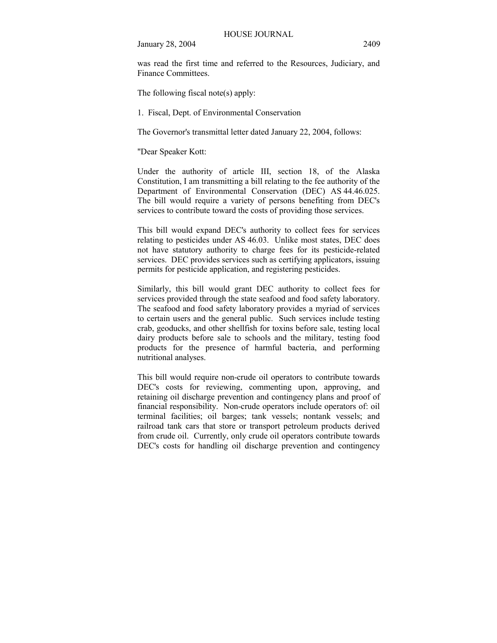was read the first time and referred to the Resources, Judiciary, and Finance Committees.

The following fiscal note(s) apply:

1. Fiscal, Dept. of Environmental Conservation

The Governor's transmittal letter dated January 22, 2004, follows:

"Dear Speaker Kott:

Under the authority of article III, section 18, of the Alaska Constitution, I am transmitting a bill relating to the fee authority of the Department of Environmental Conservation (DEC) AS 44.46.025. The bill would require a variety of persons benefiting from DEC's services to contribute toward the costs of providing those services.

This bill would expand DEC's authority to collect fees for services relating to pesticides under AS 46.03. Unlike most states, DEC does not have statutory authority to charge fees for its pesticide-related services. DEC provides services such as certifying applicators, issuing permits for pesticide application, and registering pesticides.

Similarly, this bill would grant DEC authority to collect fees for services provided through the state seafood and food safety laboratory. The seafood and food safety laboratory provides a myriad of services to certain users and the general public. Such services include testing crab, geoducks, and other shellfish for toxins before sale, testing local dairy products before sale to schools and the military, testing food products for the presence of harmful bacteria, and performing nutritional analyses.

This bill would require non-crude oil operators to contribute towards DEC's costs for reviewing, commenting upon, approving, and retaining oil discharge prevention and contingency plans and proof of financial responsibility. Non-crude operators include operators of: oil terminal facilities; oil barges; tank vessels; nontank vessels; and railroad tank cars that store or transport petroleum products derived from crude oil. Currently, only crude oil operators contribute towards DEC's costs for handling oil discharge prevention and contingency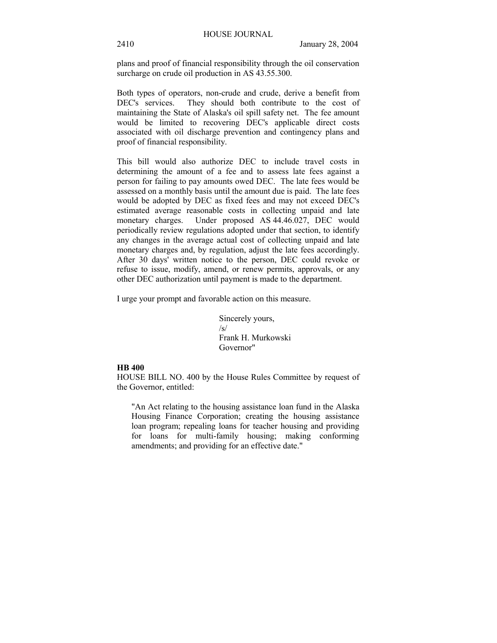plans and proof of financial responsibility through the oil conservation surcharge on crude oil production in AS 43.55.300.

Both types of operators, non-crude and crude, derive a benefit from<br>DEC's services. They should both contribute to the cost of They should both contribute to the cost of maintaining the State of Alaska's oil spill safety net. The fee amount would be limited to recovering DEC's applicable direct costs associated with oil discharge prevention and contingency plans and proof of financial responsibility.

This bill would also authorize DEC to include travel costs in determining the amount of a fee and to assess late fees against a person for failing to pay amounts owed DEC. The late fees would be assessed on a monthly basis until the amount due is paid. The late fees would be adopted by DEC as fixed fees and may not exceed DEC's estimated average reasonable costs in collecting unpaid and late monetary charges. Under proposed AS 44.46.027, DEC would periodically review regulations adopted under that section, to identify any changes in the average actual cost of collecting unpaid and late monetary charges and, by regulation, adjust the late fees accordingly. After 30 days' written notice to the person, DEC could revoke or refuse to issue, modify, amend, or renew permits, approvals, or any other DEC authorization until payment is made to the department.

I urge your prompt and favorable action on this measure.

Sincerely yours,  $\sqrt{s}$ Frank H. Murkowski Governor"

## **HB 400**

HOUSE BILL NO. 400 by the House Rules Committee by request of the Governor, entitled:

"An Act relating to the housing assistance loan fund in the Alaska Housing Finance Corporation; creating the housing assistance loan program; repealing loans for teacher housing and providing for loans for multi-family housing; making conforming amendments; and providing for an effective date."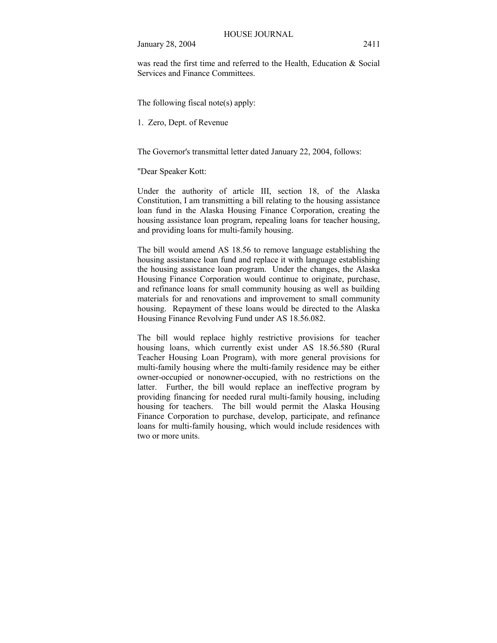was read the first time and referred to the Health, Education & Social Services and Finance Committees.

The following fiscal note(s) apply:

1. Zero, Dept. of Revenue

The Governor's transmittal letter dated January 22, 2004, follows:

"Dear Speaker Kott:

Under the authority of article III, section 18, of the Alaska Constitution, I am transmitting a bill relating to the housing assistance loan fund in the Alaska Housing Finance Corporation, creating the housing assistance loan program, repealing loans for teacher housing, and providing loans for multi-family housing.

The bill would amend AS 18.56 to remove language establishing the housing assistance loan fund and replace it with language establishing the housing assistance loan program. Under the changes, the Alaska Housing Finance Corporation would continue to originate, purchase, and refinance loans for small community housing as well as building materials for and renovations and improvement to small community housing. Repayment of these loans would be directed to the Alaska Housing Finance Revolving Fund under AS 18.56.082.

The bill would replace highly restrictive provisions for teacher housing loans, which currently exist under AS 18.56.580 (Rural Teacher Housing Loan Program), with more general provisions for multi-family housing where the multi-family residence may be either owner-occupied or nonowner-occupied, with no restrictions on the latter. Further, the bill would replace an ineffective program by providing financing for needed rural multi-family housing, including housing for teachers. The bill would permit the Alaska Housing Finance Corporation to purchase, develop, participate, and refinance loans for multi-family housing, which would include residences with two or more units.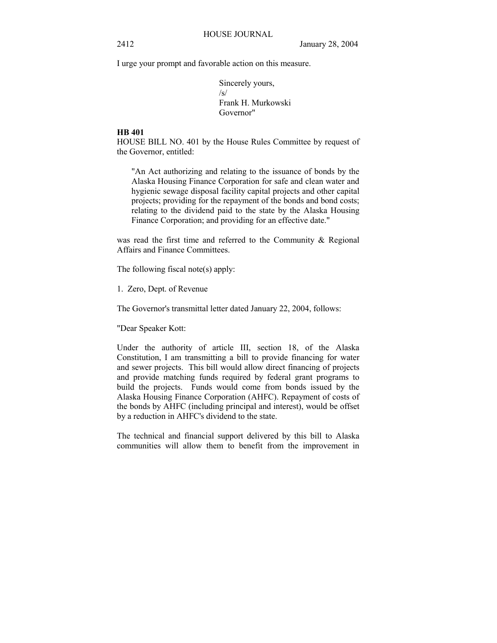I urge your prompt and favorable action on this measure.

Sincerely yours,  $\sqrt{s}$ Frank H. Murkowski Governor"

### **HB 401**

HOUSE BILL NO. 401 by the House Rules Committee by request of the Governor, entitled:

"An Act authorizing and relating to the issuance of bonds by the Alaska Housing Finance Corporation for safe and clean water and hygienic sewage disposal facility capital projects and other capital projects; providing for the repayment of the bonds and bond costs; relating to the dividend paid to the state by the Alaska Housing Finance Corporation; and providing for an effective date."

was read the first time and referred to the Community & Regional Affairs and Finance Committees.

The following fiscal note(s) apply:

1. Zero, Dept. of Revenue

The Governor's transmittal letter dated January 22, 2004, follows:

"Dear Speaker Kott:

Under the authority of article III, section 18, of the Alaska Constitution, I am transmitting a bill to provide financing for water and sewer projects. This bill would allow direct financing of projects and provide matching funds required by federal grant programs to build the projects. Funds would come from bonds issued by the Alaska Housing Finance Corporation (AHFC). Repayment of costs of the bonds by AHFC (including principal and interest), would be offset by a reduction in AHFC's dividend to the state.

The technical and financial support delivered by this bill to Alaska communities will allow them to benefit from the improvement in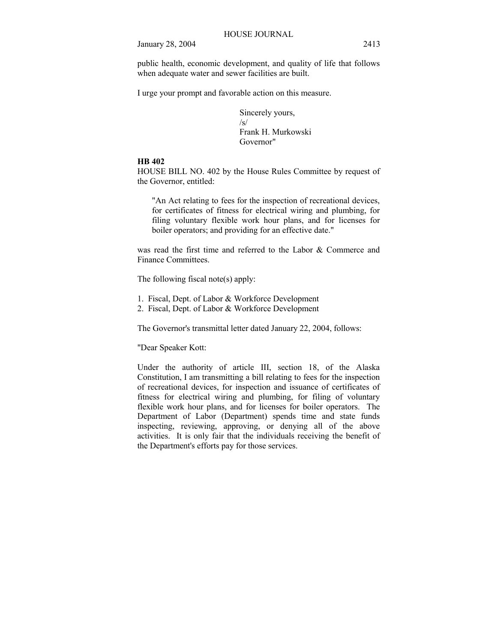public health, economic development, and quality of life that follows when adequate water and sewer facilities are built.

I urge your prompt and favorable action on this measure.

Sincerely yours, /s/ Frank H. Murkowski Governor"

## **HB 402**

HOUSE BILL NO. 402 by the House Rules Committee by request of the Governor, entitled:

"An Act relating to fees for the inspection of recreational devices, for certificates of fitness for electrical wiring and plumbing, for filing voluntary flexible work hour plans, and for licenses for boiler operators; and providing for an effective date."

was read the first time and referred to the Labor & Commerce and Finance Committees.

The following fiscal note(s) apply:

- 1. Fiscal, Dept. of Labor & Workforce Development
- 2. Fiscal, Dept. of Labor & Workforce Development

The Governor's transmittal letter dated January 22, 2004, follows:

"Dear Speaker Kott:

Under the authority of article III, section 18, of the Alaska Constitution, I am transmitting a bill relating to fees for the inspection of recreational devices, for inspection and issuance of certificates of fitness for electrical wiring and plumbing, for filing of voluntary flexible work hour plans, and for licenses for boiler operators. The Department of Labor (Department) spends time and state funds inspecting, reviewing, approving, or denying all of the above activities. It is only fair that the individuals receiving the benefit of the Department's efforts pay for those services.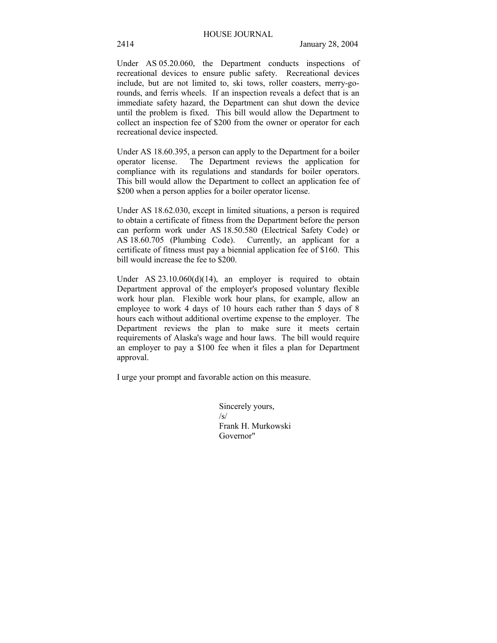Under AS 05.20.060, the Department conducts inspections of recreational devices to ensure public safety. Recreational devices include, but are not limited to, ski tows, roller coasters, merry-gorounds, and ferris wheels. If an inspection reveals a defect that is an immediate safety hazard, the Department can shut down the device until the problem is fixed. This bill would allow the Department to collect an inspection fee of \$200 from the owner or operator for each recreational device inspected.

Under AS 18.60.395, a person can apply to the Department for a boiler operator license. The Department reviews the application for compliance with its regulations and standards for boiler operators. This bill would allow the Department to collect an application fee of \$200 when a person applies for a boiler operator license.

Under AS 18.62.030, except in limited situations, a person is required to obtain a certificate of fitness from the Department before the person can perform work under AS 18.50.580 (Electrical Safety Code) or AS 18.60.705 (Plumbing Code). Currently, an applicant for a certificate of fitness must pay a biennial application fee of \$160. This bill would increase the fee to \$200.

Under AS  $23.10.060(d)(14)$ , an employer is required to obtain Department approval of the employer's proposed voluntary flexible work hour plan. Flexible work hour plans, for example, allow an employee to work 4 days of 10 hours each rather than 5 days of 8 hours each without additional overtime expense to the employer. The Department reviews the plan to make sure it meets certain requirements of Alaska's wage and hour laws. The bill would require an employer to pay a \$100 fee when it files a plan for Department approval.

I urge your prompt and favorable action on this measure.

Sincerely yours, /s/ Frank H. Murkowski Governor"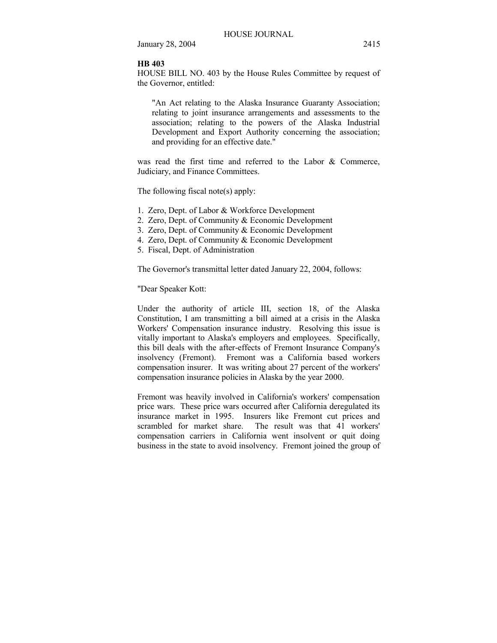#### **HB 403**

HOUSE BILL NO. 403 by the House Rules Committee by request of the Governor, entitled:

"An Act relating to the Alaska Insurance Guaranty Association; relating to joint insurance arrangements and assessments to the association; relating to the powers of the Alaska Industrial Development and Export Authority concerning the association; and providing for an effective date."

was read the first time and referred to the Labor & Commerce, Judiciary, and Finance Committees.

The following fiscal note(s) apply:

- 1. Zero, Dept. of Labor & Workforce Development
- 2. Zero, Dept. of Community & Economic Development
- 3. Zero, Dept. of Community & Economic Development
- 4. Zero, Dept. of Community & Economic Development
- 5. Fiscal, Dept. of Administration

The Governor's transmittal letter dated January 22, 2004, follows:

"Dear Speaker Kott:

Under the authority of article III, section 18, of the Alaska Constitution, I am transmitting a bill aimed at a crisis in the Alaska Workers' Compensation insurance industry. Resolving this issue is vitally important to Alaska's employers and employees. Specifically, this bill deals with the after-effects of Fremont Insurance Company's insolvency (Fremont). Fremont was a California based workers compensation insurer. It was writing about 27 percent of the workers' compensation insurance policies in Alaska by the year 2000.

Fremont was heavily involved in California's workers' compensation price wars. These price wars occurred after California deregulated its insurance market in 1995. Insurers like Fremont cut prices and scrambled for market share. The result was that 41 workers' compensation carriers in California went insolvent or quit doing business in the state to avoid insolvency. Fremont joined the group of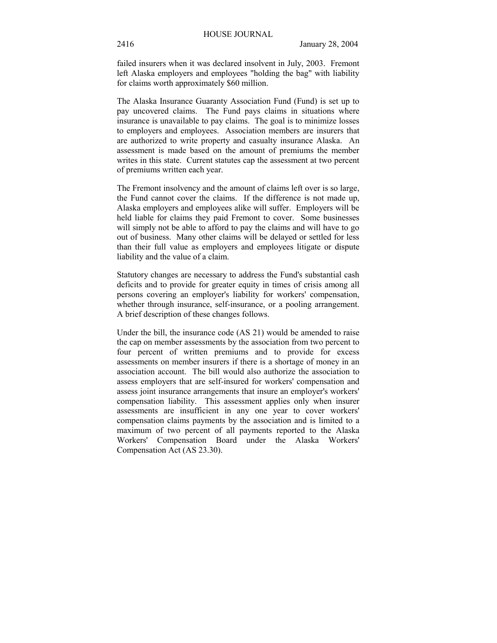failed insurers when it was declared insolvent in July, 2003. Fremont left Alaska employers and employees "holding the bag" with liability for claims worth approximately \$60 million.

The Alaska Insurance Guaranty Association Fund (Fund) is set up to pay uncovered claims. The Fund pays claims in situations where insurance is unavailable to pay claims. The goal is to minimize losses to employers and employees. Association members are insurers that are authorized to write property and casualty insurance Alaska. An assessment is made based on the amount of premiums the member writes in this state. Current statutes cap the assessment at two percent of premiums written each year.

The Fremont insolvency and the amount of claims left over is so large, the Fund cannot cover the claims. If the difference is not made up, Alaska employers and employees alike will suffer. Employers will be held liable for claims they paid Fremont to cover. Some businesses will simply not be able to afford to pay the claims and will have to go out of business. Many other claims will be delayed or settled for less than their full value as employers and employees litigate or dispute liability and the value of a claim.

Statutory changes are necessary to address the Fund's substantial cash deficits and to provide for greater equity in times of crisis among all persons covering an employer's liability for workers' compensation, whether through insurance, self-insurance, or a pooling arrangement. A brief description of these changes follows.

Under the bill, the insurance code (AS 21) would be amended to raise the cap on member assessments by the association from two percent to four percent of written premiums and to provide for excess assessments on member insurers if there is a shortage of money in an association account. The bill would also authorize the association to assess employers that are self-insured for workers' compensation and assess joint insurance arrangements that insure an employer's workers' compensation liability. This assessment applies only when insurer assessments are insufficient in any one year to cover workers' compensation claims payments by the association and is limited to a maximum of two percent of all payments reported to the Alaska Workers' Compensation Board under the Alaska Workers' Compensation Act (AS 23.30).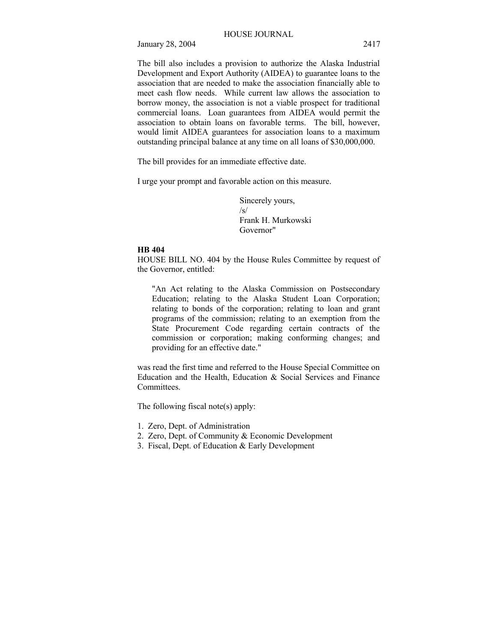The bill also includes a provision to authorize the Alaska Industrial Development and Export Authority (AIDEA) to guarantee loans to the association that are needed to make the association financially able to meet cash flow needs. While current law allows the association to borrow money, the association is not a viable prospect for traditional commercial loans. Loan guarantees from AIDEA would permit the association to obtain loans on favorable terms. The bill, however, would limit AIDEA guarantees for association loans to a maximum outstanding principal balance at any time on all loans of \$30,000,000.

The bill provides for an immediate effective date.

I urge your prompt and favorable action on this measure.

Sincerely yours, /s/ Frank H. Murkowski Governor"

## **HB 404**

HOUSE BILL NO. 404 by the House Rules Committee by request of the Governor, entitled:

"An Act relating to the Alaska Commission on Postsecondary Education; relating to the Alaska Student Loan Corporation; relating to bonds of the corporation; relating to loan and grant programs of the commission; relating to an exemption from the State Procurement Code regarding certain contracts of the commission or corporation; making conforming changes; and providing for an effective date."

was read the first time and referred to the House Special Committee on Education and the Health, Education  $\&$  Social Services and Finance Committees.

The following fiscal note(s) apply:

- 1. Zero, Dept. of Administration
- 2. Zero, Dept. of Community & Economic Development
- 3. Fiscal, Dept. of Education & Early Development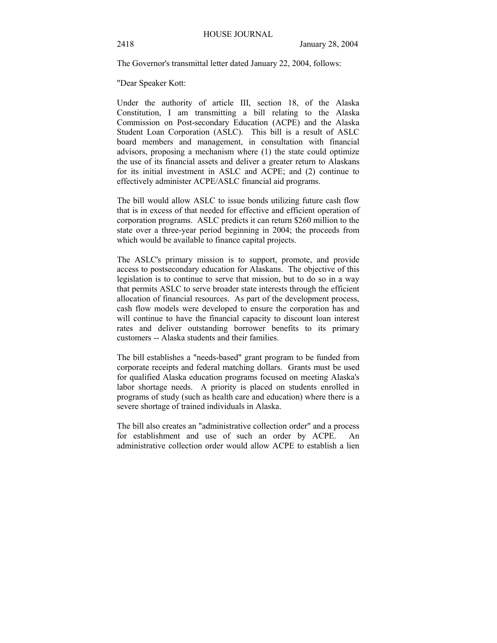The Governor's transmittal letter dated January 22, 2004, follows:

"Dear Speaker Kott:

Under the authority of article III, section 18, of the Alaska Constitution, I am transmitting a bill relating to the Alaska Commission on Post-secondary Education (ACPE) and the Alaska Student Loan Corporation (ASLC). This bill is a result of ASLC board members and management, in consultation with financial advisors, proposing a mechanism where (1) the state could optimize the use of its financial assets and deliver a greater return to Alaskans for its initial investment in ASLC and ACPE; and (2) continue to effectively administer ACPE/ASLC financial aid programs.

The bill would allow ASLC to issue bonds utilizing future cash flow that is in excess of that needed for effective and efficient operation of corporation programs. ASLC predicts it can return \$260 million to the state over a three-year period beginning in 2004; the proceeds from which would be available to finance capital projects.

The ASLC's primary mission is to support, promote, and provide access to postsecondary education for Alaskans. The objective of this legislation is to continue to serve that mission, but to do so in a way that permits ASLC to serve broader state interests through the efficient allocation of financial resources. As part of the development process, cash flow models were developed to ensure the corporation has and will continue to have the financial capacity to discount loan interest rates and deliver outstanding borrower benefits to its primary customers -- Alaska students and their families.

The bill establishes a "needs-based" grant program to be funded from corporate receipts and federal matching dollars. Grants must be used for qualified Alaska education programs focused on meeting Alaska's labor shortage needs. A priority is placed on students enrolled in programs of study (such as health care and education) where there is a severe shortage of trained individuals in Alaska.

The bill also creates an "administrative collection order" and a process for establishment and use of such an order by ACPE. An administrative collection order would allow ACPE to establish a lien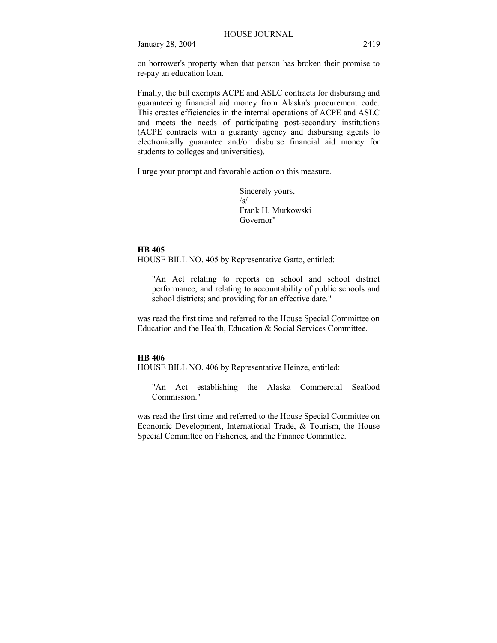on borrower's property when that person has broken their promise to re-pay an education loan.

Finally, the bill exempts ACPE and ASLC contracts for disbursing and guaranteeing financial aid money from Alaska's procurement code. This creates efficiencies in the internal operations of ACPE and ASLC and meets the needs of participating post-secondary institutions (ACPE contracts with a guaranty agency and disbursing agents to electronically guarantee and/or disburse financial aid money for students to colleges and universities).

I urge your prompt and favorable action on this measure.

Sincerely yours,  $\sqrt{s}$ Frank H. Murkowski Governor"

#### **HB 405**

HOUSE BILL NO. 405 by Representative Gatto, entitled:

"An Act relating to reports on school and school district performance; and relating to accountability of public schools and school districts; and providing for an effective date."

was read the first time and referred to the House Special Committee on Education and the Health, Education & Social Services Committee.

#### **HB 406**

HOUSE BILL NO. 406 by Representative Heinze, entitled:

"An Act establishing the Alaska Commercial Seafood Commission."

was read the first time and referred to the House Special Committee on Economic Development, International Trade, & Tourism, the House Special Committee on Fisheries, and the Finance Committee.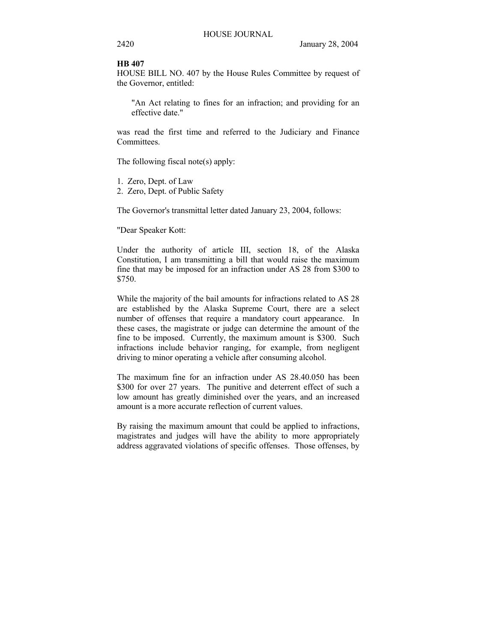#### **HB 407**

HOUSE BILL NO. 407 by the House Rules Committee by request of the Governor, entitled:

"An Act relating to fines for an infraction; and providing for an effective date."

was read the first time and referred to the Judiciary and Finance Committees.

The following fiscal note(s) apply:

- 1. Zero, Dept. of Law
- 2. Zero, Dept. of Public Safety

The Governor's transmittal letter dated January 23, 2004, follows:

"Dear Speaker Kott:

Under the authority of article III, section 18, of the Alaska Constitution, I am transmitting a bill that would raise the maximum fine that may be imposed for an infraction under AS 28 from \$300 to \$750.

While the majority of the bail amounts for infractions related to AS 28 are established by the Alaska Supreme Court, there are a select number of offenses that require a mandatory court appearance. In these cases, the magistrate or judge can determine the amount of the fine to be imposed. Currently, the maximum amount is \$300. Such infractions include behavior ranging, for example, from negligent driving to minor operating a vehicle after consuming alcohol.

The maximum fine for an infraction under AS 28.40.050 has been \$300 for over 27 years. The punitive and deterrent effect of such a low amount has greatly diminished over the years, and an increased amount is a more accurate reflection of current values.

By raising the maximum amount that could be applied to infractions, magistrates and judges will have the ability to more appropriately address aggravated violations of specific offenses. Those offenses, by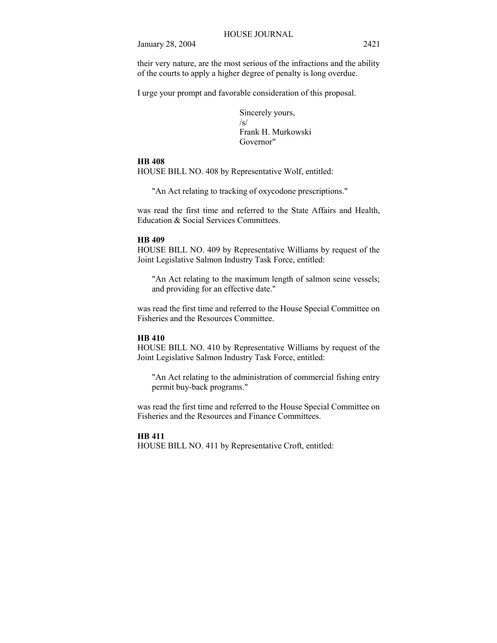their very nature, are the most serious of the infractions and the ability of the courts to apply a higher degree of penalty is long overdue.

I urge your prompt and favorable consideration of this proposal.

Sincerely yours, /s/ Frank H. Murkowski Governor"

## **HB 408**

HOUSE BILL NO. 408 by Representative Wolf, entitled:

"An Act relating to tracking of oxycodone prescriptions."

was read the first time and referred to the State Affairs and Health, Education & Social Services Committees.

#### **HB 409**

HOUSE BILL NO. 409 by Representative Williams by request of the Joint Legislative Salmon Industry Task Force, entitled:

"An Act relating to the maximum length of salmon seine vessels; and providing for an effective date."

was read the first time and referred to the House Special Committee on Fisheries and the Resources Committee.

## **HB 410**

HOUSE BILL NO. 410 by Representative Williams by request of the Joint Legislative Salmon Industry Task Force, entitled:

"An Act relating to the administration of commercial fishing entry permit buy-back programs."

was read the first time and referred to the House Special Committee on Fisheries and the Resources and Finance Committees.

#### **HB 411**

HOUSE BILL NO. 411 by Representative Croft, entitled: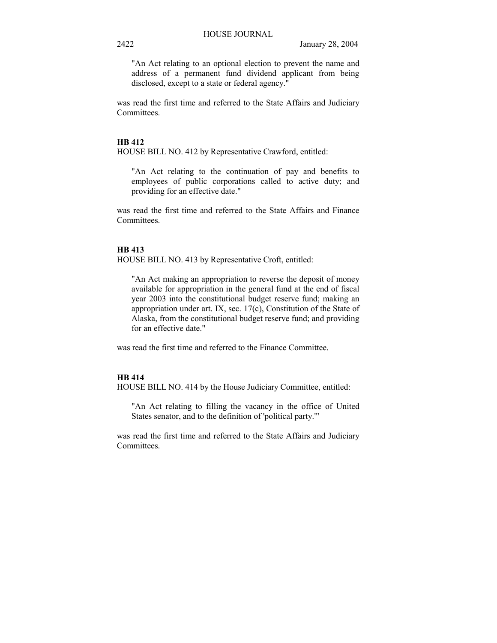"An Act relating to an optional election to prevent the name and address of a permanent fund dividend applicant from being disclosed, except to a state or federal agency."

was read the first time and referred to the State Affairs and Judiciary Committees.

#### **HB 412**

HOUSE BILL NO. 412 by Representative Crawford, entitled:

"An Act relating to the continuation of pay and benefits to employees of public corporations called to active duty; and providing for an effective date."

was read the first time and referred to the State Affairs and Finance Committees.

## **HB 413**

HOUSE BILL NO. 413 by Representative Croft, entitled:

"An Act making an appropriation to reverse the deposit of money available for appropriation in the general fund at the end of fiscal year 2003 into the constitutional budget reserve fund; making an appropriation under art. IX, sec. 17(c), Constitution of the State of Alaska, from the constitutional budget reserve fund; and providing for an effective date."

was read the first time and referred to the Finance Committee.

## **HB 414**

HOUSE BILL NO. 414 by the House Judiciary Committee, entitled:

"An Act relating to filling the vacancy in the office of United States senator, and to the definition of 'political party.'"

was read the first time and referred to the State Affairs and Judiciary Committees.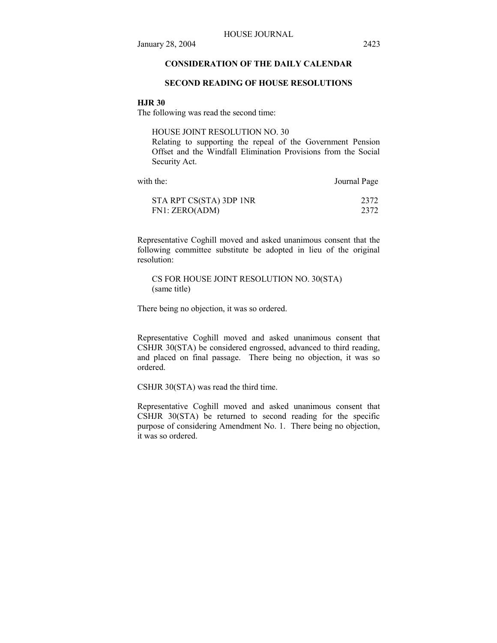## **CONSIDERATION OF THE DAILY CALENDAR**

## **SECOND READING OF HOUSE RESOLUTIONS**

#### **HJR 30**

The following was read the second time:

HOUSE JOINT RESOLUTION NO. 30

Relating to supporting the repeal of the Government Pension Offset and the Windfall Elimination Provisions from the Social Security Act.

| with the:               | Journal Page |
|-------------------------|--------------|
| STA RPT CS(STA) 3DP 1NR | 2372         |
| FN1: ZERO(ADM)          | 2372         |

Representative Coghill moved and asked unanimous consent that the following committee substitute be adopted in lieu of the original resolution:

CS FOR HOUSE JOINT RESOLUTION NO. 30(STA) (same title)

There being no objection, it was so ordered.

Representative Coghill moved and asked unanimous consent that CSHJR 30(STA) be considered engrossed, advanced to third reading, and placed on final passage. There being no objection, it was so ordered.

CSHJR 30(STA) was read the third time.

Representative Coghill moved and asked unanimous consent that CSHJR 30(STA) be returned to second reading for the specific purpose of considering Amendment No. 1. There being no objection, it was so ordered.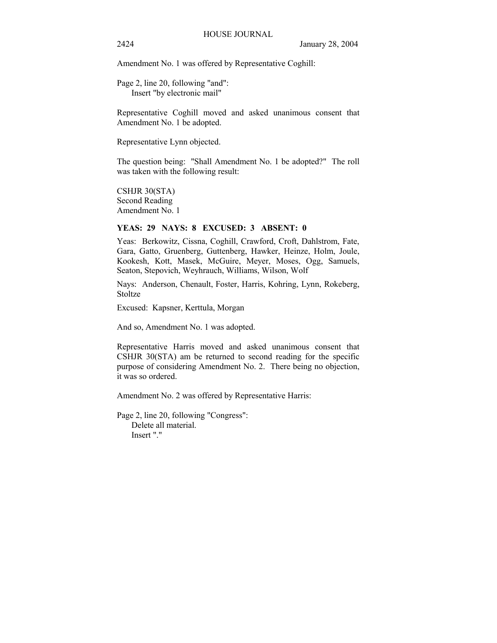Amendment No. 1 was offered by Representative Coghill:

Page 2, line 20, following "and": Insert "by electronic mail"

Representative Coghill moved and asked unanimous consent that Amendment No. 1 be adopted.

Representative Lynn objected.

The question being: "Shall Amendment No. 1 be adopted?" The roll was taken with the following result:

CSHJR 30(STA) Second Reading Amendment No. 1

## **YEAS: 29 NAYS: 8 EXCUSED: 3 ABSENT: 0**

Yeas: Berkowitz, Cissna, Coghill, Crawford, Croft, Dahlstrom, Fate, Gara, Gatto, Gruenberg, Guttenberg, Hawker, Heinze, Holm, Joule, Kookesh, Kott, Masek, McGuire, Meyer, Moses, Ogg, Samuels, Seaton, Stepovich, Weyhrauch, Williams, Wilson, Wolf

Nays: Anderson, Chenault, Foster, Harris, Kohring, Lynn, Rokeberg, Stoltze

Excused: Kapsner, Kerttula, Morgan

And so, Amendment No. 1 was adopted.

Representative Harris moved and asked unanimous consent that CSHJR 30(STA) am be returned to second reading for the specific purpose of considering Amendment No. 2. There being no objection, it was so ordered.

Amendment No. 2 was offered by Representative Harris:

Page 2, line 20, following "Congress": Delete all material. Insert "."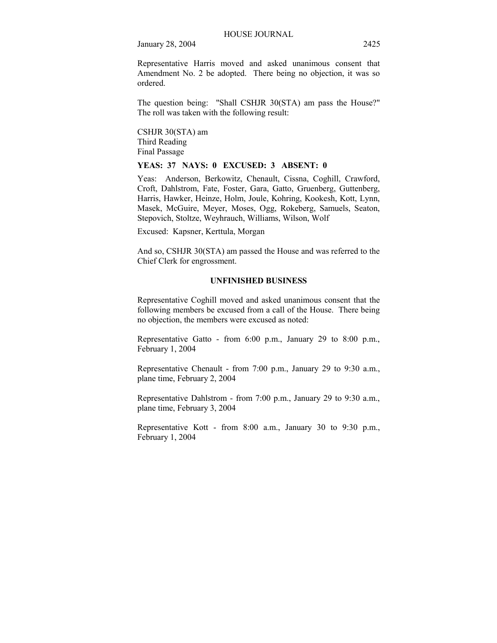Representative Harris moved and asked unanimous consent that Amendment No. 2 be adopted. There being no objection, it was so ordered.

The question being: "Shall CSHJR 30(STA) am pass the House?" The roll was taken with the following result:

CSHJR 30(STA) am Third Reading Final Passage

**YEAS: 37 NAYS: 0 EXCUSED: 3 ABSENT: 0** 

Yeas: Anderson, Berkowitz, Chenault, Cissna, Coghill, Crawford, Croft, Dahlstrom, Fate, Foster, Gara, Gatto, Gruenberg, Guttenberg, Harris, Hawker, Heinze, Holm, Joule, Kohring, Kookesh, Kott, Lynn, Masek, McGuire, Meyer, Moses, Ogg, Rokeberg, Samuels, Seaton, Stepovich, Stoltze, Weyhrauch, Williams, Wilson, Wolf

Excused: Kapsner, Kerttula, Morgan

And so, CSHJR 30(STA) am passed the House and was referred to the Chief Clerk for engrossment.

## **UNFINISHED BUSINESS**

Representative Coghill moved and asked unanimous consent that the following members be excused from a call of the House. There being no objection, the members were excused as noted:

Representative Gatto - from 6:00 p.m., January 29 to 8:00 p.m., February 1, 2004

Representative Chenault - from 7:00 p.m., January 29 to 9:30 a.m., plane time, February 2, 2004

Representative Dahlstrom - from 7:00 p.m., January 29 to 9:30 a.m., plane time, February 3, 2004

Representative Kott - from 8:00 a.m., January 30 to 9:30 p.m., February 1, 2004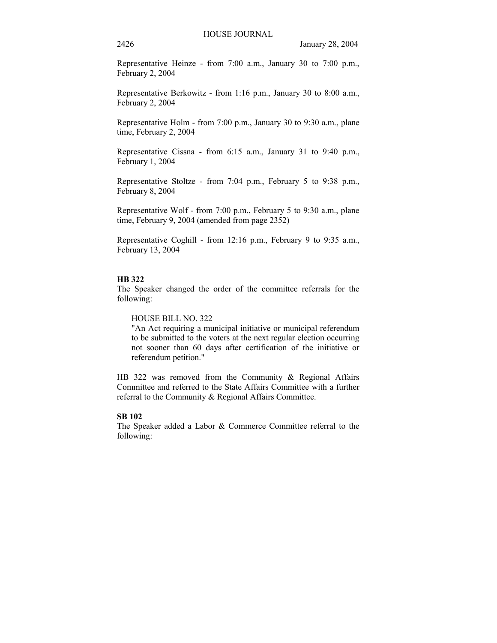Representative Heinze - from 7:00 a.m., January 30 to 7:00 p.m., February 2, 2004

Representative Berkowitz - from 1:16 p.m., January 30 to 8:00 a.m., February 2, 2004

Representative Holm - from 7:00 p.m., January 30 to 9:30 a.m., plane time, February 2, 2004

Representative Cissna - from 6:15 a.m., January 31 to 9:40 p.m., February 1, 2004

Representative Stoltze - from 7:04 p.m., February 5 to 9:38 p.m., February 8, 2004

Representative Wolf - from 7:00 p.m., February 5 to 9:30 a.m., plane time, February 9, 2004 (amended from page 2352)

Representative Coghill - from 12:16 p.m., February 9 to 9:35 a.m., February 13, 2004

#### **HB 322**

The Speaker changed the order of the committee referrals for the following:

HOUSE BILL NO. 322

"An Act requiring a municipal initiative or municipal referendum to be submitted to the voters at the next regular election occurring not sooner than 60 days after certification of the initiative or referendum petition."

HB 322 was removed from the Community & Regional Affairs Committee and referred to the State Affairs Committee with a further referral to the Community & Regional Affairs Committee.

## **SB 102**

The Speaker added a Labor & Commerce Committee referral to the following: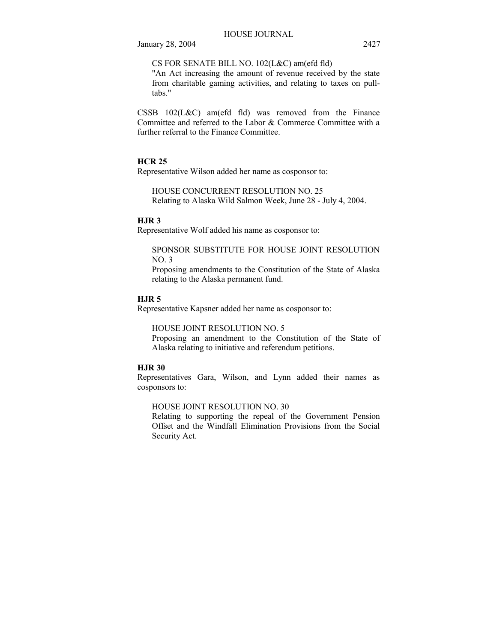CS FOR SENATE BILL NO. 102(L&C) am(efd fld)

"An Act increasing the amount of revenue received by the state from charitable gaming activities, and relating to taxes on pulltabs."

CSSB 102(L&C) am(efd fld) was removed from the Finance Committee and referred to the Labor & Commerce Committee with a further referral to the Finance Committee.

## **HCR 25**

Representative Wilson added her name as cosponsor to:

HOUSE CONCURRENT RESOLUTION NO. 25 Relating to Alaska Wild Salmon Week, June 28 - July 4, 2004.

## **HJR 3**

Representative Wolf added his name as cosponsor to:

### SPONSOR SUBSTITUTE FOR HOUSE JOINT RESOLUTION NO. 3

Proposing amendments to the Constitution of the State of Alaska relating to the Alaska permanent fund.

## **HJR 5**

Representative Kapsner added her name as cosponsor to:

#### HOUSE JOINT RESOLUTION NO. 5

Proposing an amendment to the Constitution of the State of Alaska relating to initiative and referendum petitions.

## **HJR 30**

Representatives Gara, Wilson, and Lynn added their names as cosponsors to:

## HOUSE JOINT RESOLUTION NO. 30

Relating to supporting the repeal of the Government Pension Offset and the Windfall Elimination Provisions from the Social Security Act.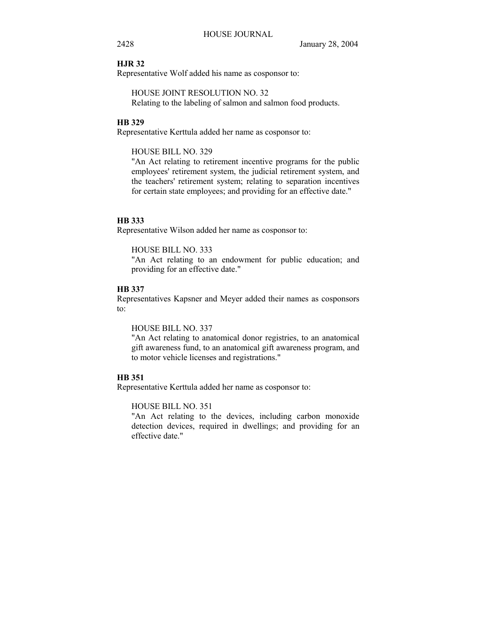## **HJR 32**

Representative Wolf added his name as cosponsor to:

HOUSE JOINT RESOLUTION NO. 32 Relating to the labeling of salmon and salmon food products.

## **HB 329**

Representative Kerttula added her name as cosponsor to:

HOUSE BILL NO. 329

"An Act relating to retirement incentive programs for the public employees' retirement system, the judicial retirement system, and the teachers' retirement system; relating to separation incentives for certain state employees; and providing for an effective date."

#### **HB 333**

Representative Wilson added her name as cosponsor to:

HOUSE BILL NO. 333

"An Act relating to an endowment for public education; and providing for an effective date."

#### **HB 337**

Representatives Kapsner and Meyer added their names as cosponsors to:

HOUSE BILL NO. 337

"An Act relating to anatomical donor registries, to an anatomical gift awareness fund, to an anatomical gift awareness program, and to motor vehicle licenses and registrations."

## **HB 351**

Representative Kerttula added her name as cosponsor to:

HOUSE BILL NO. 351

"An Act relating to the devices, including carbon monoxide detection devices, required in dwellings; and providing for an effective date."